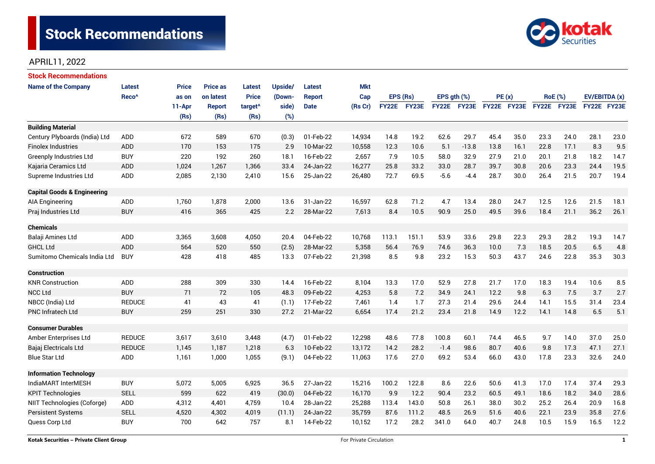

# APRIL11, 2022

| Stock Recommendations                  |                   |              |                 |                     |         |               |            |              |       |             |         |             |      |             |                |               |      |
|----------------------------------------|-------------------|--------------|-----------------|---------------------|---------|---------------|------------|--------------|-------|-------------|---------|-------------|------|-------------|----------------|---------------|------|
| <b>Name of the Company</b>             | Latest            | <b>Price</b> | <b>Price as</b> | <b>Latest</b>       | Upside/ | Latest        | <b>Mkt</b> |              |       |             |         |             |      |             |                |               |      |
|                                        | Reco <sup>^</sup> | as on        | on latest       | <b>Price</b>        | (Down-  | <b>Report</b> | Cap        | EPS (Rs)     |       | EPS gth (%) |         | PE(x)       |      |             | <b>RoE</b> (%) | EV/EBITDA (x) |      |
|                                        |                   | 11-Apr       | <b>Report</b>   | target <sup>^</sup> | side)   | <b>Date</b>   | (Rs Cr)    | <b>FY22E</b> | FY23E | FY22E FY23E |         | FY22E FY23E |      | FY22E FY23E |                | FY22E FY23E   |      |
|                                        |                   | (Rs)         | (Rs)            | (Rs)                | (%)     |               |            |              |       |             |         |             |      |             |                |               |      |
| <b>Building Material</b>               |                   |              |                 |                     |         |               |            |              |       |             |         |             |      |             |                |               |      |
| Century Plyboards (India) Ltd          | ADD               | 672          | 589             | 670                 | (0.3)   | 01-Feb-22     | 14,934     | 14.8         | 19.2  | 62.6        | 29.7    | 45.4        | 35.0 | 23.3        | 24.0           | 28.1          | 23.0 |
| <b>Finolex Industries</b>              | <b>ADD</b>        | 170          | 153             | 175                 | 2.9     | 10-Mar-22     | 10,558     | 12.3         | 10.6  | 5.1         | $-13.8$ | 13.8        | 16.1 | 22.8        | 17.1           | 8.3           | 9.5  |
| <b>Greenply Industries Ltd</b>         | <b>BUY</b>        | 220          | 192             | 260                 | 18.1    | 16-Feb-22     | 2,657      | 7.9          | 10.5  | 58.0        | 32.9    | 27.9        | 21.0 | 20.1        | 21.8           | 18.2          | 14.7 |
| Kajaria Ceramics Ltd                   | <b>ADD</b>        | 1,024        | 1,267           | 1,366               | 33.4    | 24-Jan-22     | 16,277     | 25.8         | 33.2  | 33.0        | 28.7    | 39.7        | 30.8 | 20.6        | 23.3           | 24.4          | 19.5 |
| Supreme Industries Ltd                 | ADD               | 2,085        | 2,130           | 2,410               | 15.6    | 25-Jan-22     | 26,480     | 72.7         | 69.5  | $-5.6$      | $-4.4$  | 28.7        | 30.0 | 26.4        | 21.5           | 20.7          | 19.4 |
| <b>Capital Goods &amp; Engineering</b> |                   |              |                 |                     |         |               |            |              |       |             |         |             |      |             |                |               |      |
| <b>AIA Engineering</b>                 | ADD               | 1,760        | 1,878           | 2,000               | 13.6    | 31-Jan-22     | 16,597     | 62.8         | 71.2  | 4.7         | 13.4    | 28.0        | 24.7 | 12.5        | 12.6           | 21.5          | 18.1 |
| Praj Industries Ltd                    | <b>BUY</b>        | 416          | 365             | 425                 | 2.2     | 28-Mar-22     | 7,613      | 8.4          | 10.5  | 90.9        | 25.0    | 49.5        | 39.6 | 18.4        | 21.1           | 36.2          | 26.1 |
|                                        |                   |              |                 |                     |         |               |            |              |       |             |         |             |      |             |                |               |      |
| <b>Chemicals</b>                       |                   |              |                 |                     |         |               |            |              |       |             |         |             |      |             |                |               |      |
| Balaji Amines Ltd                      | <b>ADD</b>        | 3,365        | 3,608           | 4,050               | 20.4    | 04-Feb-22     | 10,768     | 113.1        | 151.1 | 53.9        | 33.6    | 29.8        | 22.3 | 29.3        | 28.2           | 19.3          | 14.7 |
| <b>GHCL Ltd</b>                        | <b>ADD</b>        | 564          | 520             | 550                 | (2.5)   | 28-Mar-22     | 5,358      | 56.4         | 76.9  | 74.6        | 36.3    | 10.0        | 7.3  | 18.5        | 20.5           | 6.5           | 4.8  |
| Sumitomo Chemicals India Ltd           | <b>BUY</b>        | 428          | 418             | 485                 | 13.3    | 07-Feb-22     | 21,398     | 8.5          | 9.8   | 23.2        | 15.3    | 50.3        | 43.7 | 24.6        | 22.8           | 35.3          | 30.3 |
| <b>Construction</b>                    |                   |              |                 |                     |         |               |            |              |       |             |         |             |      |             |                |               |      |
| <b>KNR Construction</b>                | ADD               | 288          | 309             | 330                 | 14.4    | 16-Feb-22     | 8,104      | 13.3         | 17.0  | 52.9        | 27.8    | 21.7        | 17.0 | 18.3        | 19.4           | 10.6          | 8.5  |
| <b>NCC Ltd</b>                         | <b>BUY</b>        | 71           | 72              | 105                 | 48.3    | 09-Feb-22     | 4,253      | 5.8          | 7.2   | 34.9        | 24.1    | 12.2        | 9.8  | 6.3         | 7.5            | 3.7           | 2.7  |
| NBCC (India) Ltd                       | <b>REDUCE</b>     | 41           | 43              | 41                  | (1.1)   | 17-Feb-22     | 7,461      | 1.4          | 1.7   | 27.3        | 21.4    | 29.6        | 24.4 | 14.1        | 15.5           | 31.4          | 23.4 |
| <b>PNC Infratech Ltd</b>               | <b>BUY</b>        | 259          | 251             | 330                 | 27.2    | 21-Mar-22     | 6,654      | 17.4         | 21.2  | 23.4        | 21.8    | 14.9        | 12.2 | 14.1        | 14.8           | 6.5           | 5.1  |
| <b>Consumer Durables</b>               |                   |              |                 |                     |         |               |            |              |       |             |         |             |      |             |                |               |      |
| Amber Enterprises Ltd                  | <b>REDUCE</b>     | 3,617        | 3,610           | 3,448               | (4.7)   | 01-Feb-22     | 12,298     | 48.6         | 77.8  | 100.8       | 60.1    | 74.4        | 46.5 | 9.7         | 14.0           | 37.0          | 25.0 |
| Bajaj Electricals Ltd                  | <b>REDUCE</b>     | 1,145        | 1,187           | 1,218               | 6.3     | 10-Feb-22     | 13,172     | 14.2         | 28.2  | $-1.4$      | 98.6    | 80.7        | 40.6 | 9.8         | 17.3           | 47.1          | 27.1 |
| <b>Blue Star Ltd</b>                   | <b>ADD</b>        | 1,161        | 1,000           | 1,055               | (9.1)   | 04-Feb-22     | 11,063     | 17.6         | 27.0  | 69.2        | 53.4    | 66.0        | 43.0 | 17.8        | 23.3           | 32.6          | 24.0 |
| <b>Information Technology</b>          |                   |              |                 |                     |         |               |            |              |       |             |         |             |      |             |                |               |      |
| IndiaMART InterMESH                    | <b>BUY</b>        | 5,072        | 5,005           | 6,925               | 36.5    | 27-Jan-22     | 15,216     | 100.2        | 122.8 | 8.6         | 22.6    | 50.6        | 41.3 | 17.0        | 17.4           | 37.4          | 29.3 |
| <b>KPIT Technologies</b>               | <b>SELL</b>       | 599          | 622             | 419                 | (30.0)  | 04-Feb-22     | 16,170     | 9.9          | 12.2  | 90.4        | 23.2    | 60.5        | 49.1 | 18.6        | 18.2           | 34.0          | 28.6 |
| NIIT Technologies (Coforge)            | ADD               | 4,312        | 4,401           | 4,759               | 10.4    | 28-Jan-22     | 25,288     | 113.4        | 143.0 | 50.8        | 26.1    | 38.0        | 30.2 | 25.2        | 26.4           | 20.9          | 16.8 |
| Persistent Systems                     | <b>SELL</b>       |              |                 |                     |         |               |            |              |       |             |         |             |      |             |                |               |      |
|                                        |                   | 4,520        | 4,302           | 4,019               | (11.1)  | 24-Jan-22     | 35,759     | 87.6         | 111.2 | 48.5        | 26.9    | 51.6        | 40.6 | 22.1        | 23.9           | 35.8          | 27.6 |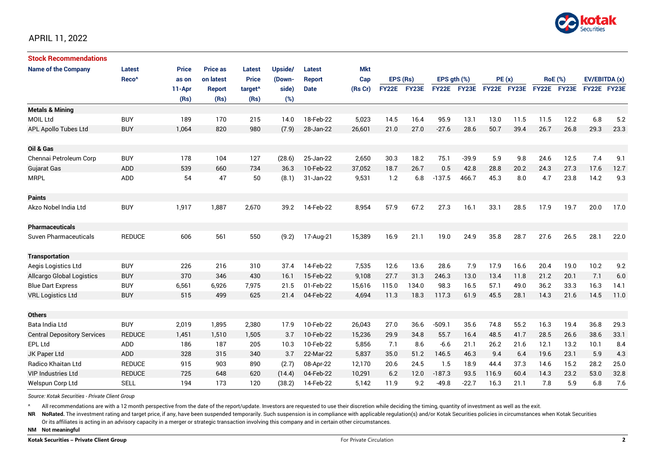

# APRIL 11, 2022

| <b>Stock Recommendations</b>       |                   |              |                 |                     |         |               |            |              |       |                  |         |             |      |                |       |               |      |
|------------------------------------|-------------------|--------------|-----------------|---------------------|---------|---------------|------------|--------------|-------|------------------|---------|-------------|------|----------------|-------|---------------|------|
| <b>Name of the Company</b>         | <b>Latest</b>     | <b>Price</b> | <b>Price as</b> | <b>Latest</b>       | Upside/ | <b>Latest</b> | <b>Mkt</b> |              |       |                  |         |             |      |                |       |               |      |
|                                    | Reco <sup>^</sup> | as on        | on latest       | <b>Price</b>        | (Down-  | <b>Report</b> | Cap        | EPS (Rs)     |       | EPS $qth$ $(\%)$ |         | PE(x)       |      | <b>RoE</b> (%) |       | EV/EBITDA (x) |      |
|                                    |                   | 11-Apr       | <b>Report</b>   | target <sup>^</sup> | side)   | <b>Date</b>   | (Rs Cr)    | <b>FY22E</b> | FY23E | <b>FY22E</b>     | FY23E   | FY22E FY23E |      | <b>FY22E</b>   | FY23E | FY22E FY23E   |      |
|                                    |                   | (Rs)         | (Rs)            | (Rs)                | (%)     |               |            |              |       |                  |         |             |      |                |       |               |      |
| <b>Metals &amp; Mining</b>         |                   |              |                 |                     |         |               |            |              |       |                  |         |             |      |                |       |               |      |
| <b>MOIL Ltd</b>                    | <b>BUY</b>        | 189          | 170             | 215                 | 14.0    | 18-Feb-22     | 5,023      | 14.5         | 16.4  | 95.9             | 13.1    | 13.0        | 11.5 | 11.5           | 12.2  | 6.8           | 5.2  |
| <b>APL Apollo Tubes Ltd</b>        | <b>BUY</b>        | 1,064        | 820             | 980                 | (7.9)   | 28-Jan-22     | 26,601     | 21.0         | 27.0  | $-27.6$          | 28.6    | 50.7        | 39.4 | 26.7           | 26.8  | 29.3          | 23.3 |
|                                    |                   |              |                 |                     |         |               |            |              |       |                  |         |             |      |                |       |               |      |
| Oil & Gas                          |                   |              |                 |                     |         |               |            |              |       |                  |         |             |      |                |       |               |      |
| Chennai Petroleum Corp             | <b>BUY</b>        | 178          | 104             | 127                 | (28.6)  | 25-Jan-22     | 2,650      | 30.3         | 18.2  | 75.1             | $-39.9$ | 5.9         | 9.8  | 24.6           | 12.5  | 7.4           | 9.1  |
| Gujarat Gas                        | <b>ADD</b>        | 539          | 660             | 734                 | 36.3    | 10-Feb-22     | 37,052     | 18.7         | 26.7  | 0.5              | 42.8    | 28.8        | 20.2 | 24.3           | 27.3  | 17.6          | 12.7 |
| <b>MRPL</b>                        | <b>ADD</b>        | 54           | 47              | 50                  | (8.1)   | 31-Jan-22     | 9,531      | 1.2          | 6.8   | $-137.5$         | 466.7   | 45.3        | 8.0  | 4.7            | 23.8  | 14.2          | 9.3  |
|                                    |                   |              |                 |                     |         |               |            |              |       |                  |         |             |      |                |       |               |      |
| <b>Paints</b>                      |                   |              |                 |                     |         |               |            |              |       |                  |         |             |      |                |       |               |      |
| Akzo Nobel India Ltd               | <b>BUY</b>        | 1,917        | 1,887           | 2,670               | 39.2    | 14-Feb-22     | 8,954      | 57.9         | 67.2  | 27.3             | 16.1    | 33.1        | 28.5 | 17.9           | 19.7  | 20.0          | 17.0 |
|                                    |                   |              |                 |                     |         |               |            |              |       |                  |         |             |      |                |       |               |      |
| <b>Pharmaceuticals</b>             |                   |              |                 |                     |         |               |            |              |       |                  |         |             |      |                |       |               |      |
| Suven Pharmaceuticals              | <b>REDUCE</b>     | 606          | 561             | 550                 | (9.2)   | 17-Aug-21     | 15,389     | 16.9         | 21.1  | 19.0             | 24.9    | 35.8        | 28.7 | 27.6           | 26.5  | 28.1          | 22.0 |
|                                    |                   |              |                 |                     |         |               |            |              |       |                  |         |             |      |                |       |               |      |
| <b>Transportation</b>              |                   |              |                 |                     |         |               |            |              |       |                  |         |             |      |                |       |               |      |
| Aegis Logistics Ltd                | <b>BUY</b>        | 226          | 216             | 310                 | 37.4    | 14-Feb-22     | 7,535      | 12.6         | 13.6  | 28.6             | 7.9     | 17.9        | 16.6 | 20.4           | 19.0  | 10.2          | 9.2  |
| <b>Allcargo Global Logistics</b>   | <b>BUY</b>        | 370          | 346             | 430                 | 16.1    | 15-Feb-22     | 9,108      | 27.7         | 31.3  | 246.3            | 13.0    | 13.4        | 11.8 | 21.2           | 20.1  | 7.1           | 6.0  |
| <b>Blue Dart Express</b>           | <b>BUY</b>        | 6,561        | 6,926           | 7,975               | 21.5    | 01-Feb-22     | 15,616     | 115.0        | 134.0 | 98.3             | 16.5    | 57.1        | 49.0 | 36.2           | 33.3  | 16.3          | 14.1 |
| <b>VRL Logistics Ltd</b>           | <b>BUY</b>        | 515          | 499             | 625                 | 21.4    | 04-Feb-22     | 4,694      | 11.3         | 18.3  | 117.3            | 61.9    | 45.5        | 28.1 | 14.3           | 21.6  | 14.5          | 11.0 |
|                                    |                   |              |                 |                     |         |               |            |              |       |                  |         |             |      |                |       |               |      |
| <b>Others</b>                      |                   |              |                 |                     |         |               |            |              |       |                  |         |             |      |                |       |               |      |
| Bata India Ltd                     | <b>BUY</b>        | 2,019        | 1,895           | 2,380               | 17.9    | 10-Feb-22     | 26,043     | 27.0         | 36.6  | $-509.1$         | 35.6    | 74.8        | 55.2 | 16.3           | 19.4  | 36.8          | 29.3 |
| <b>Central Depository Services</b> | <b>REDUCE</b>     | 1,451        | 1.510           | 1,505               | 3.7     | 10-Feb-22     | 15,236     | 29.9         | 34.8  | 55.7             | 16.4    | 48.5        | 41.7 | 28.5           | 26.6  | 38.6          | 33.1 |
| EPL Ltd                            | <b>ADD</b>        | 186          | 187             | 205                 | 10.3    | 10-Feb-22     | 5,856      | 7.1          | 8.6   | $-6.6$           | 21.1    | 26.2        | 21.6 | 12.1           | 13.2  | 10.1          | 8.4  |
| JK Paper Ltd                       | <b>ADD</b>        | 328          | 315             | 340                 | 3.7     | 22-Mar-22     | 5,837      | 35.0         | 51.2  | 146.5            | 46.3    | 9.4         | 6.4  | 19.6           | 23.1  | 5.9           | 4.3  |
| <b>Radico Khaitan Ltd</b>          | <b>REDUCE</b>     | 915          | 903             | 890                 | (2.7)   | 08-Apr-22     | 12,170     | 20.6         | 24.5  | 1.5              | 18.9    | 44.4        | 37.3 | 14.6           | 15.2  | 28.2          | 25.0 |
| <b>VIP Industries Ltd</b>          | <b>REDUCE</b>     | 725          | 648             | 620                 | (14.4)  | 04-Feb-22     | 10,291     | 6.2          | 12.0  | $-187.3$         | 93.5    | 116.9       | 60.4 | 14.3           | 23.2  | 53.0          | 32.8 |
| Welspun Corp Ltd                   | <b>SELL</b>       | 194          | 173             | 120                 | (38.2)  | 14-Feb-22     | 5,142      | 11.9         | 9.2   | $-49.8$          | $-22.7$ | 16.3        | 21.1 | 7.8            | 5.9   | 6.8           | 7.6  |

*Source: Kotak Securities - Private Client Group*

All recommendations are with a 12 month perspective from the date of the report/update. Investors are requested to use their discretion while deciding the timing, quantity of investment as well as the exit.

NR NoRated. The investment rating and target price, if any, have been suspended temporarily. Such suspension is in compliance with applicable regulation(s) and/or Kotak Securities policies in circumstances when Kotak Secur

Or its affiliates is acting in an advisory capacity in a merger or strategic transaction involving this company and in certain other circumstances.

**NM Not meaningful**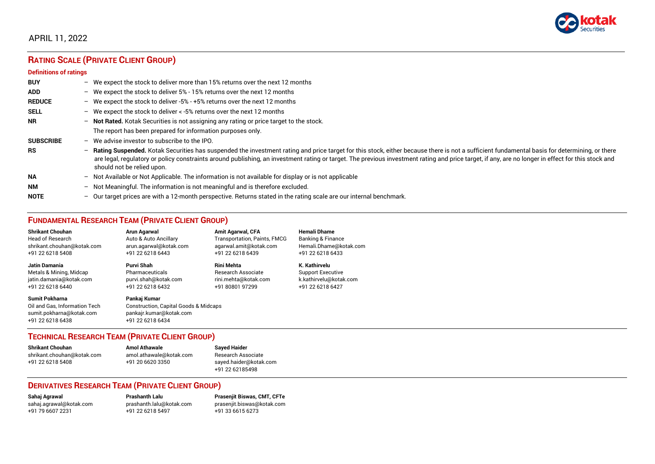

# APRIL 11, 2022

# **RATING SCALE (PRIVATE CLIENT GROUP)**

#### **Definitions of ratings**

| <b>BUY</b>       | $-$ | We expect the stock to deliver more than 15% returns over the next 12 months                                                                                                                                                                                                                                                                                                                                                     |
|------------------|-----|----------------------------------------------------------------------------------------------------------------------------------------------------------------------------------------------------------------------------------------------------------------------------------------------------------------------------------------------------------------------------------------------------------------------------------|
| <b>ADD</b>       |     | - We expect the stock to deliver 5% - 15% returns over the next 12 months                                                                                                                                                                                                                                                                                                                                                        |
| <b>REDUCE</b>    |     | - We expect the stock to deliver -5% - +5% returns over the next 12 months                                                                                                                                                                                                                                                                                                                                                       |
| <b>SELL</b>      | $-$ | We expect the stock to deliver < -5% returns over the next 12 months                                                                                                                                                                                                                                                                                                                                                             |
| <b>NR</b>        |     | - Not Rated. Kotak Securities is not assigning any rating or price target to the stock.                                                                                                                                                                                                                                                                                                                                          |
|                  |     | The report has been prepared for information purposes only.                                                                                                                                                                                                                                                                                                                                                                      |
| <b>SUBSCRIBE</b> | $-$ | We advise investor to subscribe to the IPO.                                                                                                                                                                                                                                                                                                                                                                                      |
| <b>RS</b>        | $-$ | Rating Suspended. Kotak Securities has suspended the investment rating and price target for this stock, either because there is not a sufficient fundamental basis for determining, or there<br>are legal, regulatory or policy constraints around publishing, an investment rating or target. The previous investment rating and price target, if any, are no longer in effect for this stock and<br>should not be relied upon. |
| <b>NA</b>        |     | $-$ Not Available or Not Applicable. The information is not available for display or is not applicable                                                                                                                                                                                                                                                                                                                           |
| <b>NM</b>        |     | - Not Meaningful. The information is not meaningful and is therefore excluded.                                                                                                                                                                                                                                                                                                                                                   |
| <b>NOTE</b>      | -   | Our target prices are with a 12-month perspective. Returns stated in the rating scale are our internal benchmark.                                                                                                                                                                                                                                                                                                                |

# **FUNDAMENTAL RESEARCH TEAM (PRIVATE CLIENT GROUP)**

| <b>Shrikant Chouhan</b>                                                                                | <b>Arun Agarwal</b>                                                                                             | <b>Amit Agarwal, CFA</b>            | <b>Hemali Dhame</b>      |
|--------------------------------------------------------------------------------------------------------|-----------------------------------------------------------------------------------------------------------------|-------------------------------------|--------------------------|
| <b>Head of Research</b>                                                                                | Auto & Auto Ancillary                                                                                           | <b>Transportation, Paints, FMCG</b> | Banking & Finance        |
| shrikant.chouhan@kotak.com                                                                             | arun.agarwal@kotak.com                                                                                          | agarwal.amit@kotak.com              | Hemali.Dhame@kotak.com   |
| +91 22 6218 5408                                                                                       | +91 22 6218 6443                                                                                                | +91 22 6218 6439                    | +91 22 6218 6433         |
| <b>Jatin Damania</b>                                                                                   | Purvi Shah                                                                                                      | <b>Rini Mehta</b>                   | K. Kathirvelu            |
| Metals & Mining, Midcap                                                                                | Pharmaceuticals                                                                                                 | <b>Research Associate</b>           | <b>Support Executive</b> |
| jatin.damania@kotak.com                                                                                | purvi.shah@kotak.com                                                                                            | rini.mehta@kotak.com                | k.kathirvelu@kotak.com   |
| +91 22 6218 6440                                                                                       | +91 22 6218 6432                                                                                                | +91 80801 97299                     | +91 22 6218 6427         |
| <b>Sumit Pokharna</b><br>Oil and Gas. Information Tech<br>sumit.pokharna@kotak.com<br>+91 22 6218 6438 | Pankaj Kumar<br><b>Construction, Capital Goods &amp; Midcaps</b><br>pankajr.kumar@kotak.com<br>+91 22 6218 6434 |                                     |                          |

#### **TECHNICAL RESEARCH TEAM (PRIVATE CLIENT GROUP)**

| <b>Shrikant Chouhan</b>    | <b>Amol Athawale</b>    |  |
|----------------------------|-------------------------|--|
| shrikant.chouhan@kotak.com | amol.athawale@kotak.com |  |
| +91 22 6218 5408           | +91 20 6620 3350        |  |
|                            |                         |  |

**Sayed Haider** Research Associate [sayed.haider@kotak.com](mailto:sayed.haider@kotak.com) +91 22 62185498

#### **DERIVATIVES RESEARCH TEAM (PRIVATE CLIENT GROUP)**

+91 22 6218 5497 +91 33 6615 6273

**Sahaj Agrawal Prashanth Lalu Prasenjit Biswas, CMT, CFTe** [sahaj.agrawal@kotak.com](mailto:sahaj.agrawal@kotak.com) [prashanth.lalu@kotak.com](mailto:prashanth.lalu@kotak.com) [prasenjit.biswas@kotak.com](mailto:prasenjit.biswas@kotak.com)